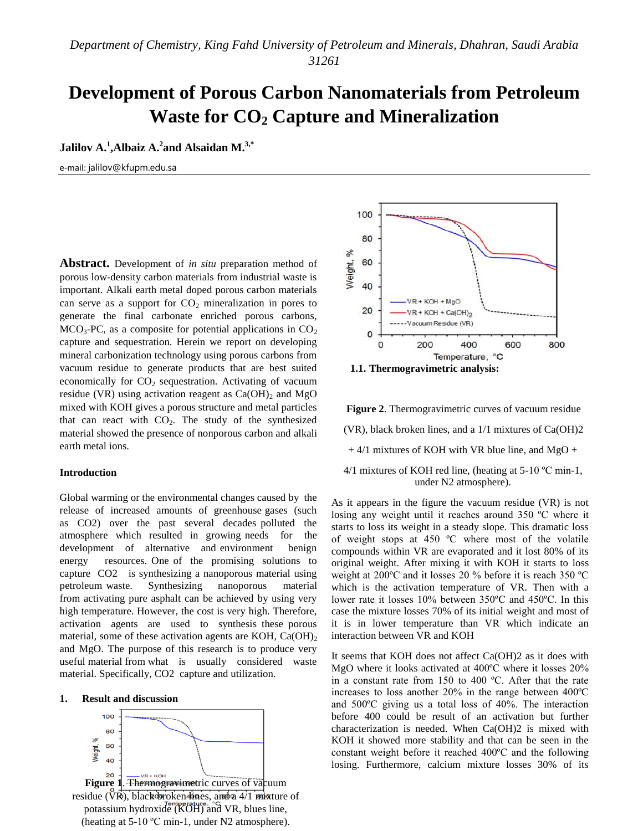# **Development of Porous Carbon Nanomaterials from Petroleum Waste for CO<sup>2</sup> Capture and Mineralization**

**Jalilov A.<sup>1</sup>,Albaiz A.<sup>2</sup> and Alsaidan M.<sup>3,\*</sup>** 

e-mail: jalilov@kfupm.edu.sa

**Abstract.** Development of *in situ* preparation method of porous low-density carbon materials from industrial waste is important. Alkali earth metal doped porous carbon materials can serve as a support for  $CO<sub>2</sub>$  mineralization in pores to generate the final carbonate enriched porous carbons,  $MCO<sub>3</sub>-PC$ , as a composite for potential applications in  $CO<sub>2</sub>$ capture and sequestration. Herein we report on developing mineral carbonization technology using porous carbons from vacuum residue to generate products that are best suited economically for  $CO<sub>2</sub>$  sequestration. Activating of vacuum residue (VR) using activation reagent as  $Ca(OH)_2$  and MgO mixed with KOH gives a porous structure and metal particles that can react with  $CO<sub>2</sub>$ . The study of the synthesized material showed the presence of nonporous carbon and alkali earth metal ions.

# **Introduction**

Global warming or the environmental changes caused by the release of increased amounts of greenhouse gases (such as CO2) over the past several decades polluted the atmosphere which resulted in growing needs for the development of alternative and environment benign energy resources. One of the promising solutions to capture CO2 is synthesizing a nanoporous material using petroleum waste. Synthesizing nanoporous material from activating pure asphalt can be achieved by using very high temperature. However, the cost is very high. Therefore, activation agents are used to synthesis these porous material, some of these activation agents are KOH,  $Ca(OH)_{2}$ and MgO. The purpose of this research is to produce very useful material from what is usually considered waste material. Specifically, CO2 capture and utilization.

# **1. Result and discussion**





**Figure 2**. Thermogravimetric curves of vacuum residue

(VR), black broken lines, and a 1/1 mixtures of Ca(OH)2  $+$  4/1 mixtures of KOH with VR blue line, and MgO  $+$ 

4/1 mixtures of KOH red line, (heating at  $5\text{-}10^{\circ}\text{C min-1}$ , under N2 atmosphere).

As it appears in the figure the vacuum residue (VR) is not losing any weight until it reaches around 350 ºC where it starts to loss its weight in a steady slope. This dramatic loss of weight stops at 450 ºC where most of the volatile compounds within VR are evaporated and it lost 80% of its original weight. After mixing it with KOH it starts to loss weight at 200ºC and it losses 20 % before it is reach 350 ºC which is the activation temperature of VR. Then with a lower rate it losses 10% between 350ºC and 450ºC. In this case the mixture losses 70% of its initial weight and most of it is in lower temperature than VR which indicate an interaction between VR and KOH

It seems that KOH does not affect Ca(OH)2 as it does with MgO where it looks activated at 400ºC where it losses 20% in a constant rate from 150 to 400 ºC. After that the rate increases to loss another 20% in the range between 400ºC and 500ºC giving us a total loss of 40%. The interaction before 400 could be result of an activation but further characterization is needed. When Ca(OH)2 is mixed with KOH it showed more stability and that can be seen in the constant weight before it reached 400ºC and the following losing. Furthermore, calcium mixture losses 30% of its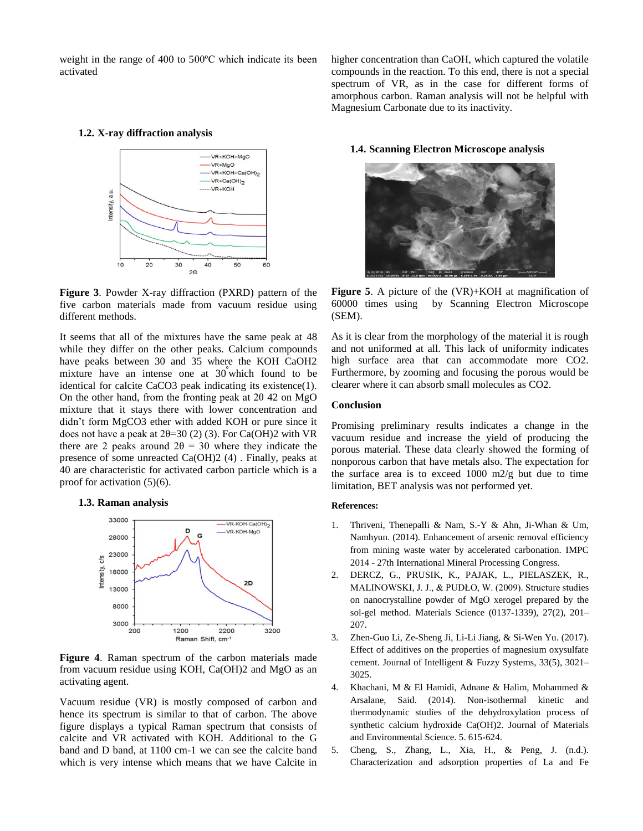weight in the range of 400 to 500ºC which indicate its been activated

# **1.2. X-ray diffraction analysis**



**Figure 3**. Powder X-ray diffraction (PXRD) pattern of the five carbon materials made from vacuum residue using different methods.

It seems that all of the mixtures have the same peak at 48 while they differ on the other peaks. Calcium compounds have peaks between 30 and 35 where the KOH CaOH2 mixture have an intense one at  $30$  which found to be identical for calcite CaCO3 peak indicating its existence(1). On the other hand, from the fronting peak at 2θ 42 on MgO mixture that it stays there with lower concentration and didn't form MgCO3 ether with added KOH or pure since it does not have a peak at  $2\theta = 30$  (2) (3). For Ca(OH)2 with VR there are 2 peaks around  $2\theta = 30$  where they indicate the presence of some unreacted Ca(OH)2 (4) . Finally, peaks at 40 are characteristic for activated carbon particle which is a proof for activation (5)(6).

#### **1.3. Raman analysis**



**Figure 4**. Raman spectrum of the carbon materials made from vacuum residue using KOH, Ca(OH)2 and MgO as an activating agent.

Vacuum residue (VR) is mostly composed of carbon and hence its spectrum is similar to that of carbon. The above figure displays a typical Raman spectrum that consists of calcite and VR activated with KOH. Additional to the G band and D band, at 1100 cm-1 we can see the calcite band which is very intense which means that we have Calcite in higher concentration than CaOH, which captured the volatile compounds in the reaction. To this end, there is not a special spectrum of VR, as in the case for different forms of amorphous carbon. Raman analysis will not be helpful with Magnesium Carbonate due to its inactivity.

# **1.4. Scanning Electron Microscope analysis**



**Figure 5**. A picture of the (VR)+KOH at magnification of 60000 times using by Scanning Electron Microscope (SEM).

As it is clear from the morphology of the material it is rough and not uniformed at all. This lack of uniformity indicates high surface area that can accommodate more CO2. Furthermore, by zooming and focusing the porous would be clearer where it can absorb small molecules as CO2.

# **Conclusion**

Promising preliminary results indicates a change in the vacuum residue and increase the yield of producing the porous material. These data clearly showed the forming of nonporous carbon that have metals also. The expectation for the surface area is to exceed 1000 m2/g but due to time limitation, BET analysis was not performed yet.

# **References:**

- 1. Thriveni, Thenepalli & Nam, S.-Y & Ahn, Ji-Whan & Um, Namhyun. (2014). Enhancement of arsenic removal efficiency from mining waste water by accelerated carbonation. IMPC 2014 - 27th International Mineral Processing Congress.
- 2. DERCZ, G., PRUSIK, K., PAJAK, L., PIELASZEK, R., MALINOWSKI, J. J., & PUDŁO, W. (2009). Structure studies on nanocrystalline powder of MgO xerogel prepared by the sol-gel method. Materials Science (0137-1339), 27(2), 201– 207.
- 3. Zhen-Guo Li, Ze-Sheng Ji, Li-Li Jiang, & Si-Wen Yu. (2017). Effect of additives on the properties of magnesium oxysulfate cement. Journal of Intelligent & Fuzzy Systems, 33(5), 3021– 3025.
- 4. Khachani, M & El Hamidi, Adnane & Halim, Mohammed & Arsalane, Said. (2014). Non-isothermal kinetic and thermodynamic studies of the dehydroxylation process of synthetic calcium hydroxide Ca(OH)2. Journal of Materials and Environmental Science. 5. 615-624.
- 5. Cheng, S., Zhang, L., Xia, H., & Peng, J. (n.d.). Characterization and adsorption properties of La and Fe